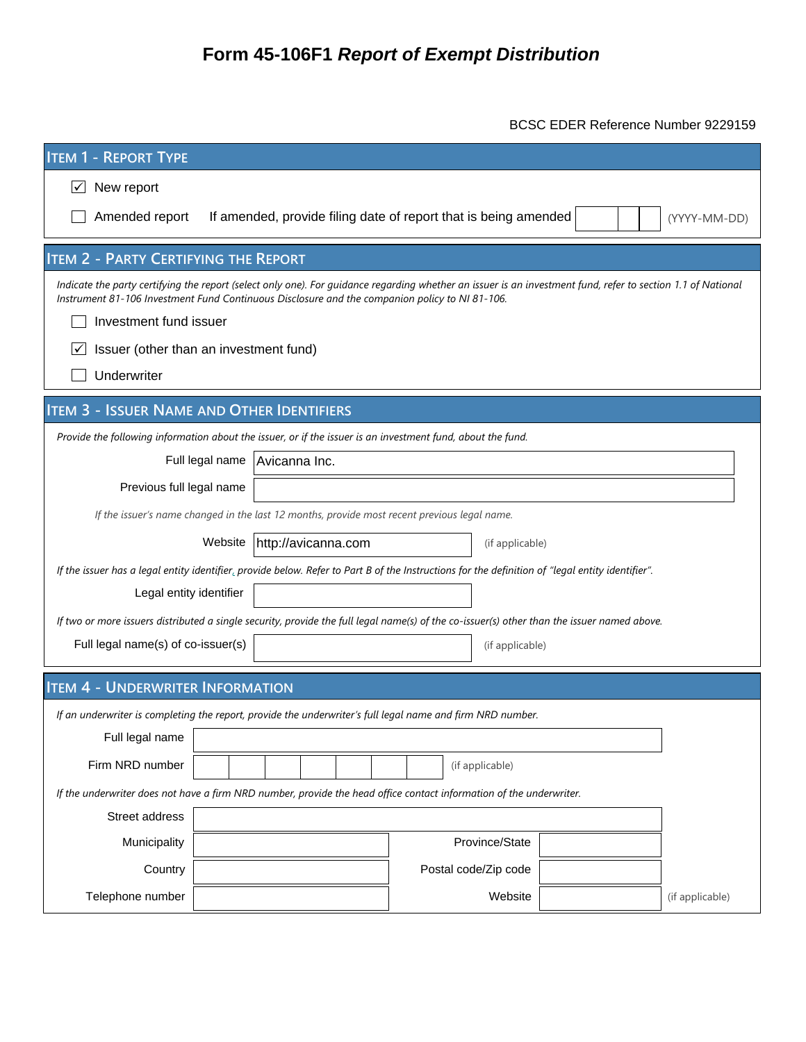# **Form 45-106F1 Report of Exempt Distribution**

BCSC EDER Reference Number 9229159

| <b>ITEM 1 - REPORT TYPE</b>                                                                                                                                                                                                                                    |                                                                                              |                      |  |                 |  |  |  |  |  |  |  |
|----------------------------------------------------------------------------------------------------------------------------------------------------------------------------------------------------------------------------------------------------------------|----------------------------------------------------------------------------------------------|----------------------|--|-----------------|--|--|--|--|--|--|--|
| New report<br>∣✓                                                                                                                                                                                                                                               |                                                                                              |                      |  |                 |  |  |  |  |  |  |  |
| Amended report<br>If amended, provide filing date of report that is being amended<br>(YYYY-MM-DD)                                                                                                                                                              |                                                                                              |                      |  |                 |  |  |  |  |  |  |  |
| <b>ITEM 2 - PARTY CERTIFYING THE REPORT</b>                                                                                                                                                                                                                    |                                                                                              |                      |  |                 |  |  |  |  |  |  |  |
| Indicate the party certifying the report (select only one). For guidance regarding whether an issuer is an investment fund, refer to section 1.1 of National<br>Instrument 81-106 Investment Fund Continuous Disclosure and the companion policy to NI 81-106. |                                                                                              |                      |  |                 |  |  |  |  |  |  |  |
| Investment fund issuer                                                                                                                                                                                                                                         |                                                                                              |                      |  |                 |  |  |  |  |  |  |  |
| Issuer (other than an investment fund)<br>∣✓                                                                                                                                                                                                                   |                                                                                              |                      |  |                 |  |  |  |  |  |  |  |
| Underwriter                                                                                                                                                                                                                                                    |                                                                                              |                      |  |                 |  |  |  |  |  |  |  |
| <b>ITEM 3 - ISSUER NAME AND OTHER IDENTIFIERS</b>                                                                                                                                                                                                              |                                                                                              |                      |  |                 |  |  |  |  |  |  |  |
| Provide the following information about the issuer, or if the issuer is an investment fund, about the fund.                                                                                                                                                    |                                                                                              |                      |  |                 |  |  |  |  |  |  |  |
| Full legal name                                                                                                                                                                                                                                                | Avicanna Inc.                                                                                |                      |  |                 |  |  |  |  |  |  |  |
| Previous full legal name                                                                                                                                                                                                                                       |                                                                                              |                      |  |                 |  |  |  |  |  |  |  |
|                                                                                                                                                                                                                                                                | If the issuer's name changed in the last 12 months, provide most recent previous legal name. |                      |  |                 |  |  |  |  |  |  |  |
|                                                                                                                                                                                                                                                                | http://avicanna.com<br>Website                                                               | (if applicable)      |  |                 |  |  |  |  |  |  |  |
| If the issuer has a legal entity identifier, provide below. Refer to Part B of the Instructions for the definition of "legal entity identifier".                                                                                                               |                                                                                              |                      |  |                 |  |  |  |  |  |  |  |
| Legal entity identifier                                                                                                                                                                                                                                        |                                                                                              |                      |  |                 |  |  |  |  |  |  |  |
| If two or more issuers distributed a single security, provide the full legal name(s) of the co-issuer(s) other than the issuer named above.                                                                                                                    |                                                                                              |                      |  |                 |  |  |  |  |  |  |  |
| Full legal name(s) of co-issuer(s)                                                                                                                                                                                                                             |                                                                                              | (if applicable)      |  |                 |  |  |  |  |  |  |  |
|                                                                                                                                                                                                                                                                |                                                                                              |                      |  |                 |  |  |  |  |  |  |  |
| <b>ITEM 4 - UNDERWRITER INFORMATION</b>                                                                                                                                                                                                                        |                                                                                              |                      |  |                 |  |  |  |  |  |  |  |
| If an underwriter is completing the report, provide the underwriter's full legal name and firm NRD number.<br>Full legal name                                                                                                                                  |                                                                                              |                      |  |                 |  |  |  |  |  |  |  |
| Firm NRD number                                                                                                                                                                                                                                                |                                                                                              | (if applicable)      |  |                 |  |  |  |  |  |  |  |
|                                                                                                                                                                                                                                                                |                                                                                              |                      |  |                 |  |  |  |  |  |  |  |
| If the underwriter does not have a firm NRD number, provide the head office contact information of the underwriter.<br>Street address                                                                                                                          |                                                                                              |                      |  |                 |  |  |  |  |  |  |  |
| Municipality                                                                                                                                                                                                                                                   |                                                                                              | Province/State       |  |                 |  |  |  |  |  |  |  |
| Country                                                                                                                                                                                                                                                        |                                                                                              | Postal code/Zip code |  |                 |  |  |  |  |  |  |  |
| Telephone number                                                                                                                                                                                                                                               |                                                                                              | Website              |  | (if applicable) |  |  |  |  |  |  |  |
|                                                                                                                                                                                                                                                                |                                                                                              |                      |  |                 |  |  |  |  |  |  |  |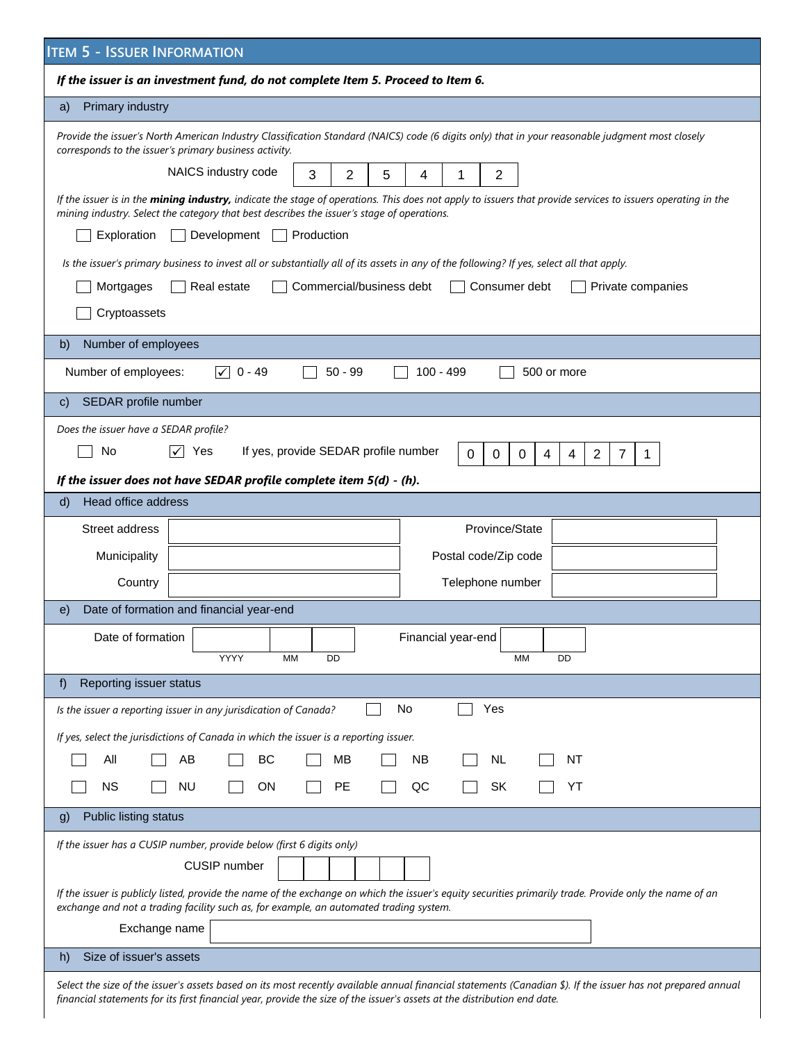| <b>ITEM 5 - ISSUER INFORMATION</b>                                                                                                                                                                                                                                                       |  |  |  |  |  |  |  |  |  |  |
|------------------------------------------------------------------------------------------------------------------------------------------------------------------------------------------------------------------------------------------------------------------------------------------|--|--|--|--|--|--|--|--|--|--|
| If the issuer is an investment fund, do not complete Item 5. Proceed to Item 6.                                                                                                                                                                                                          |  |  |  |  |  |  |  |  |  |  |
| Primary industry<br>a)                                                                                                                                                                                                                                                                   |  |  |  |  |  |  |  |  |  |  |
| Provide the issuer's North American Industry Classification Standard (NAICS) code (6 digits only) that in your reasonable judgment most closely<br>corresponds to the issuer's primary business activity.                                                                                |  |  |  |  |  |  |  |  |  |  |
| NAICS industry code<br>3<br>$\overline{2}$<br>2<br>5<br>4<br>1                                                                                                                                                                                                                           |  |  |  |  |  |  |  |  |  |  |
| If the issuer is in the mining industry, indicate the stage of operations. This does not apply to issuers that provide services to issuers operating in the<br>mining industry. Select the category that best describes the issuer's stage of operations.                                |  |  |  |  |  |  |  |  |  |  |
| Production<br>Exploration<br>Development                                                                                                                                                                                                                                                 |  |  |  |  |  |  |  |  |  |  |
| Is the issuer's primary business to invest all or substantially all of its assets in any of the following? If yes, select all that apply.                                                                                                                                                |  |  |  |  |  |  |  |  |  |  |
| Real estate<br>Commercial/business debt<br>Mortgages<br>Consumer debt<br>Private companies                                                                                                                                                                                               |  |  |  |  |  |  |  |  |  |  |
| Cryptoassets                                                                                                                                                                                                                                                                             |  |  |  |  |  |  |  |  |  |  |
| Number of employees<br>b)                                                                                                                                                                                                                                                                |  |  |  |  |  |  |  |  |  |  |
| $\sqrt{0}$ - 49<br>Number of employees:<br>$50 - 99$<br>100 - 499<br>500 or more                                                                                                                                                                                                         |  |  |  |  |  |  |  |  |  |  |
| SEDAR profile number<br>C)                                                                                                                                                                                                                                                               |  |  |  |  |  |  |  |  |  |  |
| Does the issuer have a SEDAR profile?                                                                                                                                                                                                                                                    |  |  |  |  |  |  |  |  |  |  |
| No<br>If yes, provide SEDAR profile number<br>Yes<br>0<br>0<br>0<br>4<br>4<br>$\overline{2}$<br>7<br>1.                                                                                                                                                                                  |  |  |  |  |  |  |  |  |  |  |
| If the issuer does not have SEDAR profile complete item 5(d) - (h).                                                                                                                                                                                                                      |  |  |  |  |  |  |  |  |  |  |
| Head office address<br>$\mathsf{d}$                                                                                                                                                                                                                                                      |  |  |  |  |  |  |  |  |  |  |
| Street address<br>Province/State                                                                                                                                                                                                                                                         |  |  |  |  |  |  |  |  |  |  |
| Municipality<br>Postal code/Zip code                                                                                                                                                                                                                                                     |  |  |  |  |  |  |  |  |  |  |
| Telephone number<br>Country                                                                                                                                                                                                                                                              |  |  |  |  |  |  |  |  |  |  |
| Date of formation and financial year-end<br>e)                                                                                                                                                                                                                                           |  |  |  |  |  |  |  |  |  |  |
| Date of formation<br>Financial year-end<br>YYYY<br>DD<br>DD<br>MM<br>MМ                                                                                                                                                                                                                  |  |  |  |  |  |  |  |  |  |  |
| Reporting issuer status<br>f)                                                                                                                                                                                                                                                            |  |  |  |  |  |  |  |  |  |  |
| No<br>Is the issuer a reporting issuer in any jurisdication of Canada?<br>Yes                                                                                                                                                                                                            |  |  |  |  |  |  |  |  |  |  |
| If yes, select the jurisdictions of Canada in which the issuer is a reporting issuer.                                                                                                                                                                                                    |  |  |  |  |  |  |  |  |  |  |
| All<br>AB<br>BC<br>МB<br><b>NB</b><br><b>NL</b><br>NT                                                                                                                                                                                                                                    |  |  |  |  |  |  |  |  |  |  |
| NS.<br><b>NU</b><br><b>ON</b><br><b>PE</b><br>QC<br>SK<br>YT                                                                                                                                                                                                                             |  |  |  |  |  |  |  |  |  |  |
| Public listing status<br>g)                                                                                                                                                                                                                                                              |  |  |  |  |  |  |  |  |  |  |
| If the issuer has a CUSIP number, provide below (first 6 digits only)                                                                                                                                                                                                                    |  |  |  |  |  |  |  |  |  |  |
| <b>CUSIP</b> number                                                                                                                                                                                                                                                                      |  |  |  |  |  |  |  |  |  |  |
| If the issuer is publicly listed, provide the name of the exchange on which the issuer's equity securities primarily trade. Provide only the name of an<br>exchange and not a trading facility such as, for example, an automated trading system.                                        |  |  |  |  |  |  |  |  |  |  |
| Exchange name                                                                                                                                                                                                                                                                            |  |  |  |  |  |  |  |  |  |  |
| Size of issuer's assets<br>h)                                                                                                                                                                                                                                                            |  |  |  |  |  |  |  |  |  |  |
| Select the size of the issuer's assets based on its most recently available annual financial statements (Canadian \$). If the issuer has not prepared annual<br>financial statements for its first financial year, provide the size of the issuer's assets at the distribution end date. |  |  |  |  |  |  |  |  |  |  |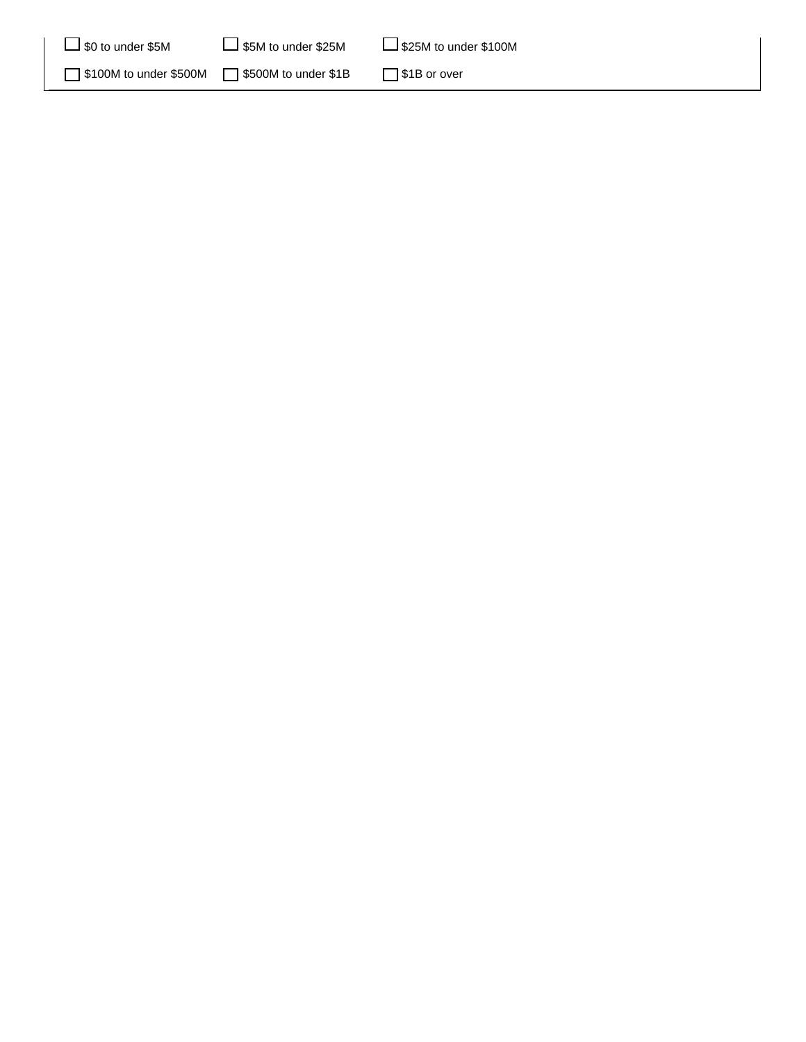| $\Box$ \$0 to under \$5M | $\Box$ \$5M to under \$25M | $\Box$ \$25M to under \$100M |
|--------------------------|----------------------------|------------------------------|
| S100M to under \$500M    | S500M to under \$1B        | S <sub>1</sub> B or over     |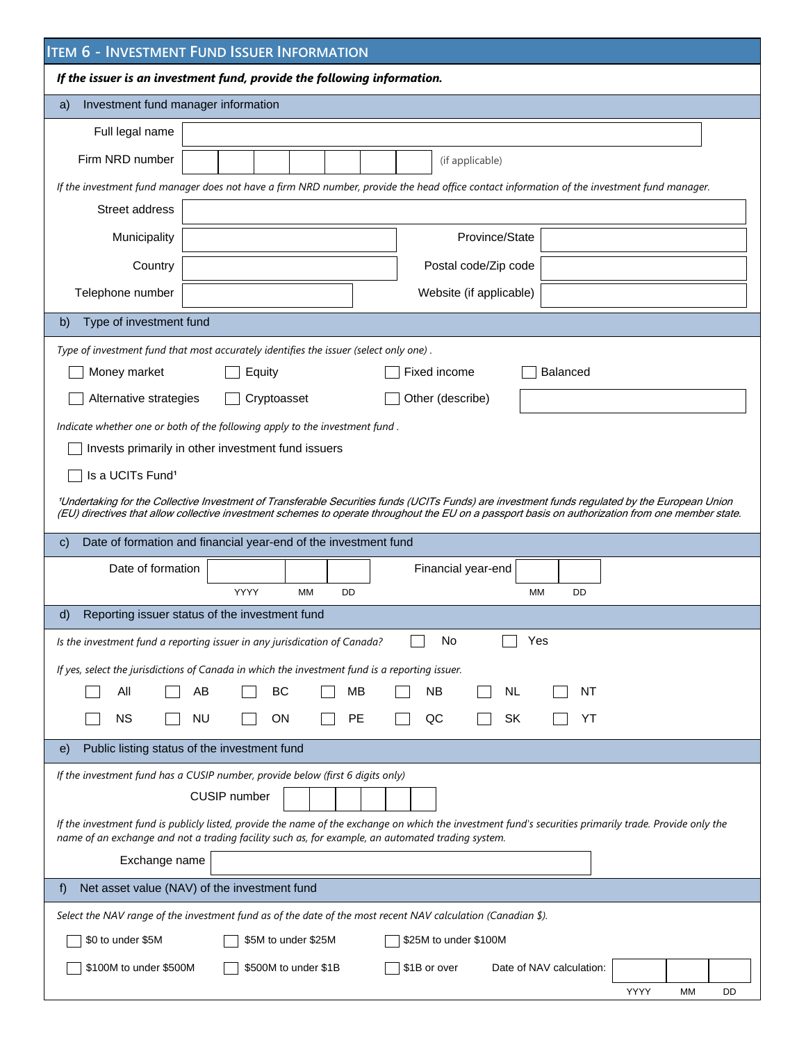|                                           | <b>ITEM 6 - INVESTMENT FUND ISSUER INFORMATION</b>                                                                                                                                                                                                                                                  |
|-------------------------------------------|-----------------------------------------------------------------------------------------------------------------------------------------------------------------------------------------------------------------------------------------------------------------------------------------------------|
|                                           | If the issuer is an investment fund, provide the following information.                                                                                                                                                                                                                             |
| Investment fund manager information<br>a) |                                                                                                                                                                                                                                                                                                     |
| Full legal name                           |                                                                                                                                                                                                                                                                                                     |
| Firm NRD number                           | (if applicable)                                                                                                                                                                                                                                                                                     |
|                                           | If the investment fund manager does not have a firm NRD number, provide the head office contact information of the investment fund manager.                                                                                                                                                         |
| Street address                            |                                                                                                                                                                                                                                                                                                     |
| Municipality                              | Province/State                                                                                                                                                                                                                                                                                      |
| Country                                   | Postal code/Zip code                                                                                                                                                                                                                                                                                |
| Telephone number                          | Website (if applicable)                                                                                                                                                                                                                                                                             |
| Type of investment fund<br>b)             |                                                                                                                                                                                                                                                                                                     |
|                                           | Type of investment fund that most accurately identifies the issuer (select only one).                                                                                                                                                                                                               |
| Money market                              | Fixed income<br>Balanced<br>Equity                                                                                                                                                                                                                                                                  |
| Alternative strategies                    | Cryptoasset<br>Other (describe)                                                                                                                                                                                                                                                                     |
|                                           | Indicate whether one or both of the following apply to the investment fund.                                                                                                                                                                                                                         |
|                                           | Invests primarily in other investment fund issuers                                                                                                                                                                                                                                                  |
| Is a UCITs Fund <sup>1</sup>              |                                                                                                                                                                                                                                                                                                     |
|                                           | 1Undertaking for the Collective Investment of Transferable Securities funds (UCITs Funds) are investment funds regulated by the European Union<br>(EU) directives that allow collective investment schemes to operate throughout the EU on a passport basis on authorization from one member state. |
| C)                                        | Date of formation and financial year-end of the investment fund                                                                                                                                                                                                                                     |
| Date of formation                         | Financial year-end                                                                                                                                                                                                                                                                                  |
|                                           | YYYY<br><b>MM</b><br>МM<br>DD<br>DD                                                                                                                                                                                                                                                                 |
| d)                                        | Reporting issuer status of the investment fund                                                                                                                                                                                                                                                      |
|                                           | No<br>Yes<br>Is the investment fund a reporting issuer in any jurisdication of Canada?                                                                                                                                                                                                              |
|                                           | If yes, select the jurisdictions of Canada in which the investment fund is a reporting issuer.                                                                                                                                                                                                      |
| All                                       | AB<br>BC<br>MВ<br><b>NB</b><br>NL<br>NΤ                                                                                                                                                                                                                                                             |
| <b>NS</b>                                 | <b>NU</b><br><b>ON</b><br>PE<br>QC<br>SK<br>YT                                                                                                                                                                                                                                                      |
| e)                                        | Public listing status of the investment fund                                                                                                                                                                                                                                                        |
|                                           | If the investment fund has a CUSIP number, provide below (first 6 digits only)                                                                                                                                                                                                                      |
|                                           | <b>CUSIP</b> number                                                                                                                                                                                                                                                                                 |
|                                           | If the investment fund is publicly listed, provide the name of the exchange on which the investment fund's securities primarily trade. Provide only the<br>name of an exchange and not a trading facility such as, for example, an automated trading system.                                        |
| Exchange name                             |                                                                                                                                                                                                                                                                                                     |
| f)                                        | Net asset value (NAV) of the investment fund                                                                                                                                                                                                                                                        |
|                                           | Select the NAV range of the investment fund as of the date of the most recent NAV calculation (Canadian \$).                                                                                                                                                                                        |
| \$0 to under \$5M                         | \$5M to under \$25M<br>\$25M to under \$100M                                                                                                                                                                                                                                                        |
| \$100M to under \$500M                    | \$500M to under \$1B<br>\$1B or over<br>Date of NAV calculation:                                                                                                                                                                                                                                    |
|                                           |                                                                                                                                                                                                                                                                                                     |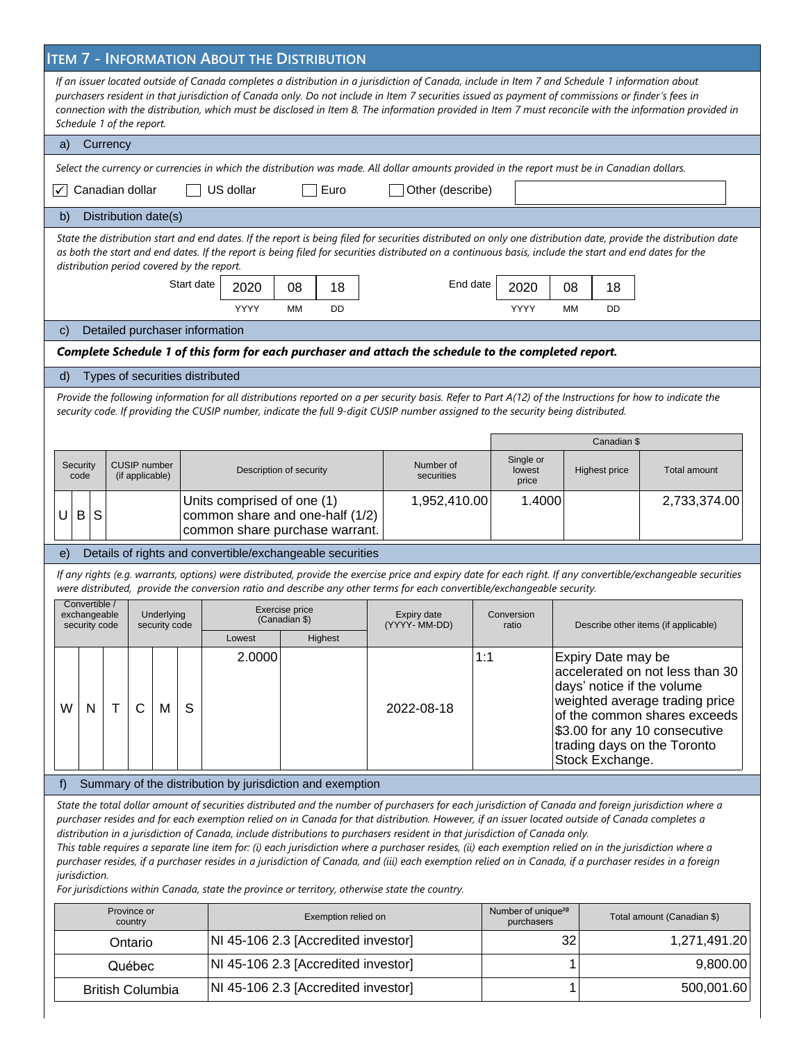# **ITEM 7 - INFORMATION ABOUT THE DISTRIBUTION**

| If an issuer located outside of Canada completes a distribution in a jurisdiction of Canada, include in Item 7 and Schedule 1 information about<br>purchasers resident in that jurisdiction of Canada only. Do not include in Item 7 securities issued as payment of commissions or finder's fees in<br>connection with the distribution, which must be disclosed in Item 8. The information provided in Item 7 must reconcile with the information provided in<br>Schedule 1 of the report.                                                                                                                                                                                                                                                                                                                                                                                                                                                    |                                                          |   |                                        |                             |            |                                                                                                 |                                            |  |                                                                                                                                                                                                                                                                                               |                                                                                                                                                                                                                                                 |                                |    |                      |                                                                                                                                                                |
|-------------------------------------------------------------------------------------------------------------------------------------------------------------------------------------------------------------------------------------------------------------------------------------------------------------------------------------------------------------------------------------------------------------------------------------------------------------------------------------------------------------------------------------------------------------------------------------------------------------------------------------------------------------------------------------------------------------------------------------------------------------------------------------------------------------------------------------------------------------------------------------------------------------------------------------------------|----------------------------------------------------------|---|----------------------------------------|-----------------------------|------------|-------------------------------------------------------------------------------------------------|--------------------------------------------|--|-----------------------------------------------------------------------------------------------------------------------------------------------------------------------------------------------------------------------------------------------------------------------------------------------|-------------------------------------------------------------------------------------------------------------------------------------------------------------------------------------------------------------------------------------------------|--------------------------------|----|----------------------|----------------------------------------------------------------------------------------------------------------------------------------------------------------|
| Currency<br>a)                                                                                                                                                                                                                                                                                                                                                                                                                                                                                                                                                                                                                                                                                                                                                                                                                                                                                                                                  |                                                          |   |                                        |                             |            |                                                                                                 |                                            |  |                                                                                                                                                                                                                                                                                               |                                                                                                                                                                                                                                                 |                                |    |                      |                                                                                                                                                                |
| Select the currency or currencies in which the distribution was made. All dollar amounts provided in the report must be in Canadian dollars.                                                                                                                                                                                                                                                                                                                                                                                                                                                                                                                                                                                                                                                                                                                                                                                                    |                                                          |   |                                        |                             |            |                                                                                                 |                                            |  |                                                                                                                                                                                                                                                                                               |                                                                                                                                                                                                                                                 |                                |    |                      |                                                                                                                                                                |
| $\vert \checkmark \vert$                                                                                                                                                                                                                                                                                                                                                                                                                                                                                                                                                                                                                                                                                                                                                                                                                                                                                                                        | Canadian dollar<br>US dollar<br>Euro<br>Other (describe) |   |                                        |                             |            |                                                                                                 |                                            |  |                                                                                                                                                                                                                                                                                               |                                                                                                                                                                                                                                                 |                                |    |                      |                                                                                                                                                                |
| Distribution date(s)<br>b)                                                                                                                                                                                                                                                                                                                                                                                                                                                                                                                                                                                                                                                                                                                                                                                                                                                                                                                      |                                                          |   |                                        |                             |            |                                                                                                 |                                            |  |                                                                                                                                                                                                                                                                                               |                                                                                                                                                                                                                                                 |                                |    |                      |                                                                                                                                                                |
| State the distribution start and end dates. If the report is being filed for securities distributed on only one distribution date, provide the distribution date<br>as both the start and end dates. If the report is being filed for securities distributed on a continuous basis, include the start and end dates for the<br>distribution period covered by the report.                                                                                                                                                                                                                                                                                                                                                                                                                                                                                                                                                                       |                                                          |   |                                        |                             |            |                                                                                                 |                                            |  |                                                                                                                                                                                                                                                                                               |                                                                                                                                                                                                                                                 |                                |    |                      |                                                                                                                                                                |
|                                                                                                                                                                                                                                                                                                                                                                                                                                                                                                                                                                                                                                                                                                                                                                                                                                                                                                                                                 |                                                          |   |                                        |                             | Start date | 2020                                                                                            | 08<br>18                                   |  | End date                                                                                                                                                                                                                                                                                      |                                                                                                                                                                                                                                                 | 2020                           | 08 | 18                   |                                                                                                                                                                |
|                                                                                                                                                                                                                                                                                                                                                                                                                                                                                                                                                                                                                                                                                                                                                                                                                                                                                                                                                 |                                                          |   |                                        |                             |            | YYYY                                                                                            | DD<br>MМ                                   |  |                                                                                                                                                                                                                                                                                               |                                                                                                                                                                                                                                                 | YYYY                           | MM | DD                   |                                                                                                                                                                |
| $\mathbf{C}$                                                                                                                                                                                                                                                                                                                                                                                                                                                                                                                                                                                                                                                                                                                                                                                                                                                                                                                                    |                                                          |   |                                        |                             |            | Detailed purchaser information                                                                  |                                            |  |                                                                                                                                                                                                                                                                                               |                                                                                                                                                                                                                                                 |                                |    |                      |                                                                                                                                                                |
|                                                                                                                                                                                                                                                                                                                                                                                                                                                                                                                                                                                                                                                                                                                                                                                                                                                                                                                                                 |                                                          |   |                                        |                             |            |                                                                                                 |                                            |  | Complete Schedule 1 of this form for each purchaser and attach the schedule to the completed report.                                                                                                                                                                                          |                                                                                                                                                                                                                                                 |                                |    |                      |                                                                                                                                                                |
| d)                                                                                                                                                                                                                                                                                                                                                                                                                                                                                                                                                                                                                                                                                                                                                                                                                                                                                                                                              |                                                          |   |                                        |                             |            | Types of securities distributed                                                                 |                                            |  |                                                                                                                                                                                                                                                                                               |                                                                                                                                                                                                                                                 |                                |    |                      |                                                                                                                                                                |
|                                                                                                                                                                                                                                                                                                                                                                                                                                                                                                                                                                                                                                                                                                                                                                                                                                                                                                                                                 |                                                          |   |                                        |                             |            |                                                                                                 |                                            |  | Provide the following information for all distributions reported on a per security basis. Refer to Part A(12) of the Instructions for how to indicate the<br>security code. If providing the CUSIP number, indicate the full 9-digit CUSIP number assigned to the security being distributed. |                                                                                                                                                                                                                                                 |                                |    |                      |                                                                                                                                                                |
|                                                                                                                                                                                                                                                                                                                                                                                                                                                                                                                                                                                                                                                                                                                                                                                                                                                                                                                                                 |                                                          |   |                                        |                             |            |                                                                                                 |                                            |  |                                                                                                                                                                                                                                                                                               |                                                                                                                                                                                                                                                 |                                |    | Canadian \$          |                                                                                                                                                                |
|                                                                                                                                                                                                                                                                                                                                                                                                                                                                                                                                                                                                                                                                                                                                                                                                                                                                                                                                                 | Security<br>code                                         |   | <b>CUSIP</b> number<br>(if applicable) |                             |            |                                                                                                 | Description of security                    |  | Number of<br>securities                                                                                                                                                                                                                                                                       |                                                                                                                                                                                                                                                 | Single or<br>lowest<br>price   |    | <b>Highest price</b> | Total amount                                                                                                                                                   |
| U                                                                                                                                                                                                                                                                                                                                                                                                                                                                                                                                                                                                                                                                                                                                                                                                                                                                                                                                               | S<br>B                                                   |   |                                        |                             |            | Units comprised of one (1)<br>common share and one-half (1/2)<br>common share purchase warrant. |                                            |  | 1,952,410.00                                                                                                                                                                                                                                                                                  |                                                                                                                                                                                                                                                 | 1.4000                         |    |                      | 2,733,374.00                                                                                                                                                   |
| e)                                                                                                                                                                                                                                                                                                                                                                                                                                                                                                                                                                                                                                                                                                                                                                                                                                                                                                                                              |                                                          |   |                                        |                             |            | Details of rights and convertible/exchangeable securities                                       |                                            |  |                                                                                                                                                                                                                                                                                               |                                                                                                                                                                                                                                                 |                                |    |                      |                                                                                                                                                                |
|                                                                                                                                                                                                                                                                                                                                                                                                                                                                                                                                                                                                                                                                                                                                                                                                                                                                                                                                                 |                                                          |   |                                        |                             |            |                                                                                                 |                                            |  | were distributed, provide the conversion ratio and describe any other terms for each convertible/exchangeable security.                                                                                                                                                                       |                                                                                                                                                                                                                                                 |                                |    |                      | If any rights (e.g. warrants, options) were distributed, provide the exercise price and expiry date for each right. If any convertible/exchangeable securities |
|                                                                                                                                                                                                                                                                                                                                                                                                                                                                                                                                                                                                                                                                                                                                                                                                                                                                                                                                                 | Convertible /<br>exchangeable<br>security code           |   |                                        | Underlying<br>security code |            | Lowest                                                                                          | Exercise price<br>(Canadian \$)<br>Highest |  | Expiry date<br>(YYYY- MM-DD)                                                                                                                                                                                                                                                                  |                                                                                                                                                                                                                                                 | Conversion<br>ratio            |    |                      | Describe other items (if applicable)                                                                                                                           |
|                                                                                                                                                                                                                                                                                                                                                                                                                                                                                                                                                                                                                                                                                                                                                                                                                                                                                                                                                 |                                                          |   |                                        |                             |            | 2.0000                                                                                          |                                            |  |                                                                                                                                                                                                                                                                                               |                                                                                                                                                                                                                                                 |                                |    |                      |                                                                                                                                                                |
| W                                                                                                                                                                                                                                                                                                                                                                                                                                                                                                                                                                                                                                                                                                                                                                                                                                                                                                                                               | N                                                        | T | C                                      | М                           | S          |                                                                                                 |                                            |  | 2022-08-18                                                                                                                                                                                                                                                                                    | Expiry Date may be<br>1:1<br>accelerated on not less than 30<br>days' notice if the volume<br>weighted average trading price<br>of the common shares exceeds<br>\$3.00 for any 10 consecutive<br>trading days on the Toronto<br>Stock Exchange. |                                |    |                      |                                                                                                                                                                |
| f)                                                                                                                                                                                                                                                                                                                                                                                                                                                                                                                                                                                                                                                                                                                                                                                                                                                                                                                                              |                                                          |   |                                        |                             |            |                                                                                                 |                                            |  |                                                                                                                                                                                                                                                                                               |                                                                                                                                                                                                                                                 |                                |    |                      |                                                                                                                                                                |
| Summary of the distribution by jurisdiction and exemption<br>State the total dollar amount of securities distributed and the number of purchasers for each jurisdiction of Canada and foreign jurisdiction where a<br>purchaser resides and for each exemption relied on in Canada for that distribution. However, if an issuer located outside of Canada completes a<br>distribution in a jurisdiction of Canada, include distributions to purchasers resident in that jurisdiction of Canada only.<br>This table requires a separate line item for: (i) each jurisdiction where a purchaser resides, (ii) each exemption relied on in the jurisdiction where a<br>purchaser resides, if a purchaser resides in a jurisdiction of Canada, and (iii) each exemption relied on in Canada, if a purchaser resides in a foreign<br>jurisdiction.<br>For jurisdictions within Canada, state the province or territory, otherwise state the country. |                                                          |   |                                        |                             |            |                                                                                                 |                                            |  |                                                                                                                                                                                                                                                                                               |                                                                                                                                                                                                                                                 |                                |    |                      |                                                                                                                                                                |
|                                                                                                                                                                                                                                                                                                                                                                                                                                                                                                                                                                                                                                                                                                                                                                                                                                                                                                                                                 |                                                          |   | Province or                            |                             |            |                                                                                                 | Exemption relied on                        |  |                                                                                                                                                                                                                                                                                               |                                                                                                                                                                                                                                                 | Number of unique <sup>28</sup> |    |                      | Total amount (Canadian \$)                                                                                                                                     |
|                                                                                                                                                                                                                                                                                                                                                                                                                                                                                                                                                                                                                                                                                                                                                                                                                                                                                                                                                 |                                                          |   | country<br>Ontario                     |                             |            |                                                                                                 | NI 45-106 2.3 [Accredited investor]        |  |                                                                                                                                                                                                                                                                                               |                                                                                                                                                                                                                                                 | purchasers                     | 32 |                      | 1,271,491.20                                                                                                                                                   |
|                                                                                                                                                                                                                                                                                                                                                                                                                                                                                                                                                                                                                                                                                                                                                                                                                                                                                                                                                 |                                                          |   |                                        |                             |            |                                                                                                 |                                            |  |                                                                                                                                                                                                                                                                                               |                                                                                                                                                                                                                                                 |                                |    |                      |                                                                                                                                                                |

Québec **NI 45-106 2.3 [Accredited investor]** 1 1 9,800.00 British Columbia NI 45-106 2.3 [Accredited investor] 1 500,001.60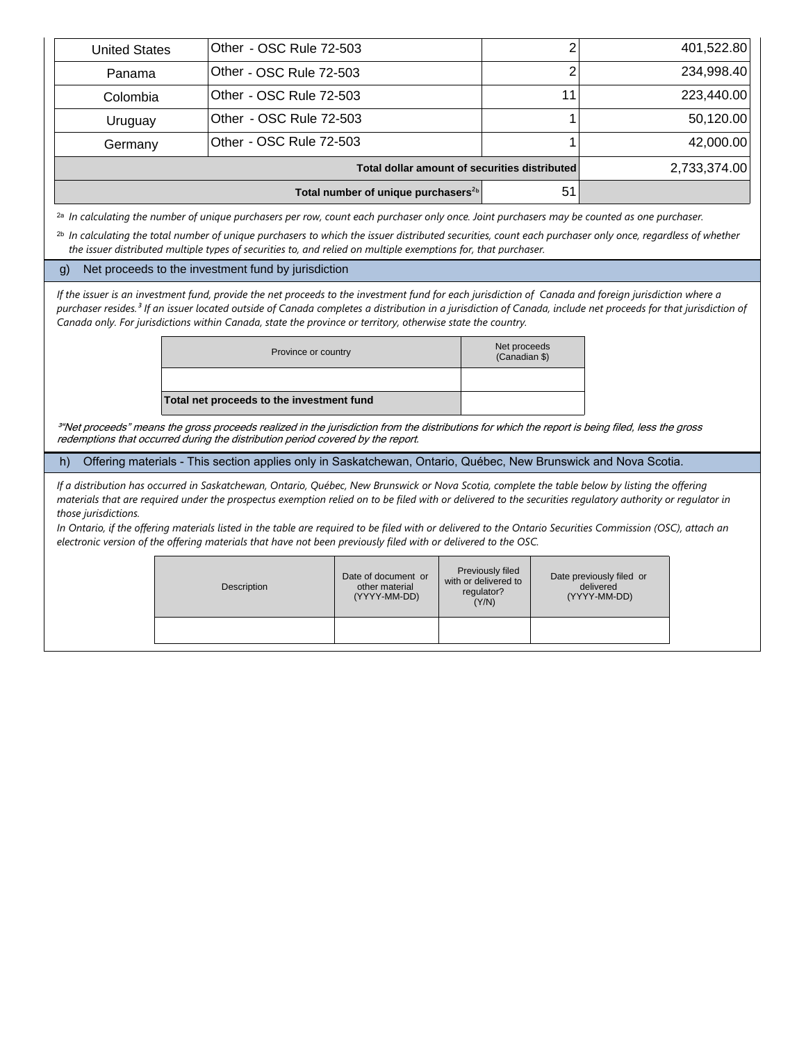|                      | Total number of unique purchasers <sup>2b</sup> | 51 |              |
|----------------------|-------------------------------------------------|----|--------------|
|                      | Total dollar amount of securities distributed   |    | 2,733,374.00 |
| Germany              | Other - OSC Rule 72-503                         |    | 42,000.00    |
| Uruguay              | Other - OSC Rule 72-503                         |    | 50,120.00    |
| Colombia             | Other - OSC Rule 72-503                         |    | 223,440.00   |
| Panama               | Other - OSC Rule 72-503                         |    | 234,998.40   |
| <b>United States</b> | Other - OSC Rule 72-503                         |    | 401,522.80   |

*In calculating the number of unique purchasers per row, count each purchaser only once. Joint purchasers may be counted as one purchaser.* 2a

<sup>2b</sup> In calculating the total number of unique purchasers to which the issuer distributed securities, count each purchaser only once, regardless of whether *the issuer distributed multiple types of securities to, and relied on multiple exemptions for, that purchaser.*

#### g) Net proceeds to the investment fund by jurisdiction

*If the issuer is an investment fund, provide the net proceeds to the investment fund for each jurisdiction of Canada and foreign jurisdiction where a purchaser resides.³ If an issuer located outside of Canada completes a distribution in a jurisdiction of Canada, include net proceeds for that jurisdiction of Canada only. For jurisdictions within Canada, state the province or territory, otherwise state the country.* 

| Province or country                       | Net proceeds<br>(Canadian \$) |
|-------------------------------------------|-------------------------------|
|                                           |                               |
| Total net proceeds to the investment fund |                               |

<sup>3</sup>"Net proceeds" means the gross proceeds realized in the jurisdiction from the distributions for which the report is being filed, less the gross redemptions that occurred during the distribution period covered by the report.

h) Offering materials - This section applies only in Saskatchewan, Ontario, Québec, New Brunswick and Nova Scotia.

*If a distribution has occurred in Saskatchewan, Ontario, Québec, New Brunswick or Nova Scotia, complete the table below by listing the offering materials that are required under the prospectus exemption relied on to be filed with or delivered to the securities regulatory authority or regulator in those jurisdictions.* 

*In Ontario, if the offering materials listed in the table are required to be filed with or delivered to the Ontario Securities Commission (OSC), attach an electronic version of the offering materials that have not been previously filed with or delivered to the OSC.*

| Description | Date of document or<br>other material<br>(YYYY-MM-DD) | Previously filed<br>with or delivered to<br>regulator?<br>(Y/N) | Date previously filed or<br>delivered<br>(YYYY-MM-DD) |
|-------------|-------------------------------------------------------|-----------------------------------------------------------------|-------------------------------------------------------|
|             |                                                       |                                                                 |                                                       |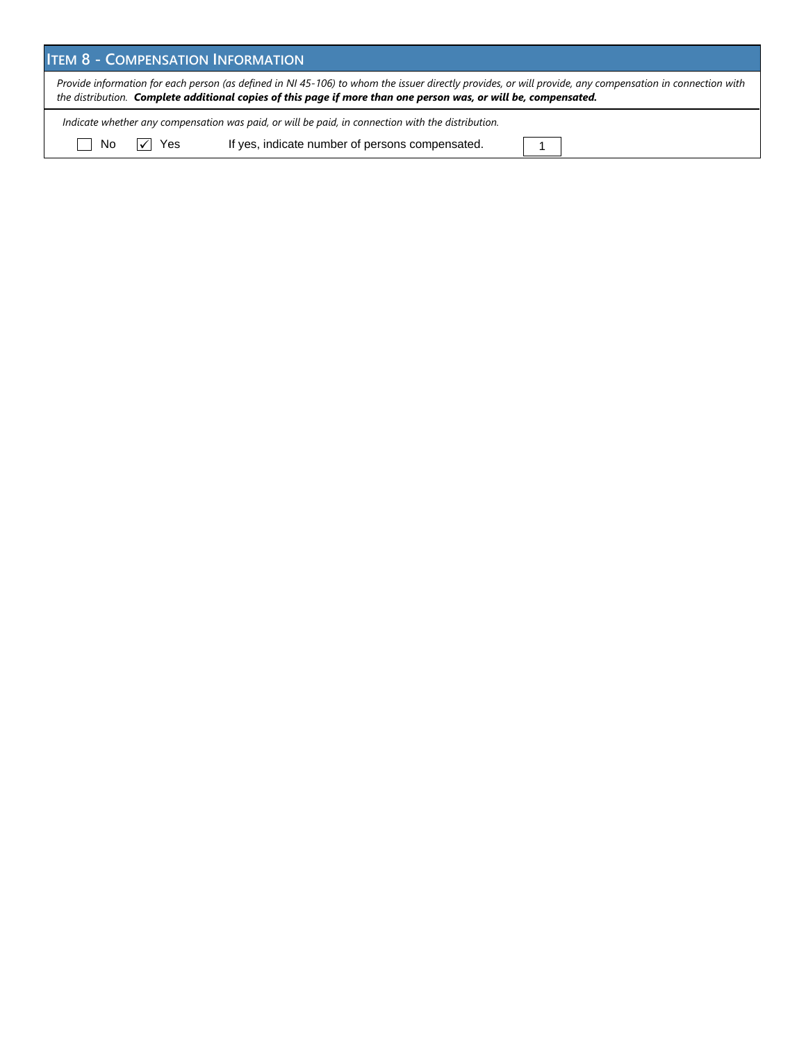|     | <b>ITEM 8 - COMPENSATION INFORMATION</b> |                                                                                                                                                                                                                                                                             |  |  |  |  |  |  |  |  |
|-----|------------------------------------------|-----------------------------------------------------------------------------------------------------------------------------------------------------------------------------------------------------------------------------------------------------------------------------|--|--|--|--|--|--|--|--|
|     |                                          | Provide information for each person (as defined in NI 45-106) to whom the issuer directly provides, or will provide, any compensation in connection with<br>the distribution. Complete additional copies of this page if more than one person was, or will be, compensated. |  |  |  |  |  |  |  |  |
|     |                                          | Indicate whether any compensation was paid, or will be paid, in connection with the distribution.                                                                                                                                                                           |  |  |  |  |  |  |  |  |
| No. | $ \sqrt{ } $ Yes                         | If yes, indicate number of persons compensated.                                                                                                                                                                                                                             |  |  |  |  |  |  |  |  |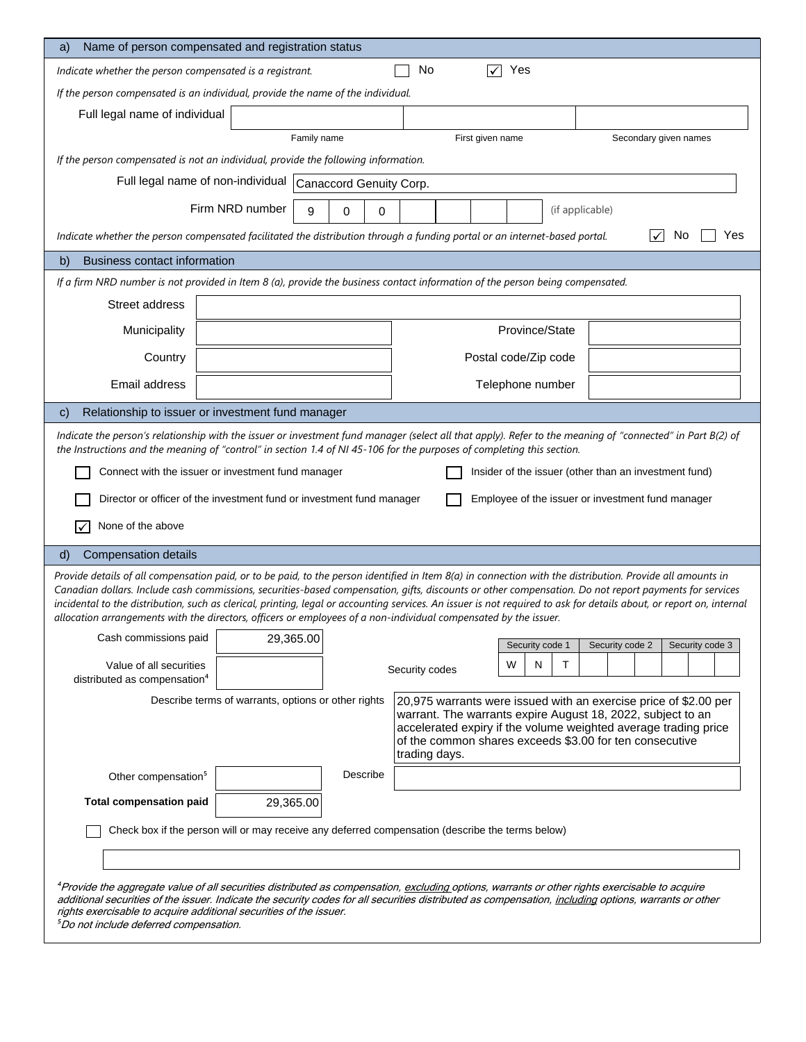| Name of person compensated and registration status<br>a)                                                                                                                                                                                                                                                                                                                                                                                                                                                                                                                                                         |                                                           |             |   |          |                |  |                  |     |                      |                                                                                                                                                                                                                                                               |   |                       |     |
|------------------------------------------------------------------------------------------------------------------------------------------------------------------------------------------------------------------------------------------------------------------------------------------------------------------------------------------------------------------------------------------------------------------------------------------------------------------------------------------------------------------------------------------------------------------------------------------------------------------|-----------------------------------------------------------|-------------|---|----------|----------------|--|------------------|-----|----------------------|---------------------------------------------------------------------------------------------------------------------------------------------------------------------------------------------------------------------------------------------------------------|---|-----------------------|-----|
| Indicate whether the person compensated is a registrant.                                                                                                                                                                                                                                                                                                                                                                                                                                                                                                                                                         |                                                           |             |   |          | No             |  | ✓                | Yes |                      |                                                                                                                                                                                                                                                               |   |                       |     |
| If the person compensated is an individual, provide the name of the individual.                                                                                                                                                                                                                                                                                                                                                                                                                                                                                                                                  |                                                           |             |   |          |                |  |                  |     |                      |                                                                                                                                                                                                                                                               |   |                       |     |
| Full legal name of individual                                                                                                                                                                                                                                                                                                                                                                                                                                                                                                                                                                                    |                                                           |             |   |          |                |  |                  |     |                      |                                                                                                                                                                                                                                                               |   |                       |     |
|                                                                                                                                                                                                                                                                                                                                                                                                                                                                                                                                                                                                                  |                                                           | Family name |   |          |                |  | First given name |     |                      |                                                                                                                                                                                                                                                               |   | Secondary given names |     |
| If the person compensated is not an individual, provide the following information.                                                                                                                                                                                                                                                                                                                                                                                                                                                                                                                               |                                                           |             |   |          |                |  |                  |     |                      |                                                                                                                                                                                                                                                               |   |                       |     |
|                                                                                                                                                                                                                                                                                                                                                                                                                                                                                                                                                                                                                  | Full legal name of non-individual Canaccord Genuity Corp. |             |   |          |                |  |                  |     |                      |                                                                                                                                                                                                                                                               |   |                       |     |
|                                                                                                                                                                                                                                                                                                                                                                                                                                                                                                                                                                                                                  | Firm NRD number                                           | 9           | 0 | 0        |                |  |                  |     |                      | (if applicable)                                                                                                                                                                                                                                               |   |                       |     |
| Indicate whether the person compensated facilitated the distribution through a funding portal or an internet-based portal.                                                                                                                                                                                                                                                                                                                                                                                                                                                                                       |                                                           |             |   |          |                |  |                  |     |                      |                                                                                                                                                                                                                                                               | ✓ | No                    | Yes |
| <b>Business contact information</b><br>b)                                                                                                                                                                                                                                                                                                                                                                                                                                                                                                                                                                        |                                                           |             |   |          |                |  |                  |     |                      |                                                                                                                                                                                                                                                               |   |                       |     |
| If a firm NRD number is not provided in Item 8 (a), provide the business contact information of the person being compensated.                                                                                                                                                                                                                                                                                                                                                                                                                                                                                    |                                                           |             |   |          |                |  |                  |     |                      |                                                                                                                                                                                                                                                               |   |                       |     |
| Street address                                                                                                                                                                                                                                                                                                                                                                                                                                                                                                                                                                                                   |                                                           |             |   |          |                |  |                  |     |                      |                                                                                                                                                                                                                                                               |   |                       |     |
| Municipality                                                                                                                                                                                                                                                                                                                                                                                                                                                                                                                                                                                                     |                                                           |             |   |          |                |  |                  |     | Province/State       |                                                                                                                                                                                                                                                               |   |                       |     |
| Country                                                                                                                                                                                                                                                                                                                                                                                                                                                                                                                                                                                                          |                                                           |             |   |          |                |  |                  |     | Postal code/Zip code |                                                                                                                                                                                                                                                               |   |                       |     |
| Email address                                                                                                                                                                                                                                                                                                                                                                                                                                                                                                                                                                                                    |                                                           |             |   |          |                |  |                  |     | Telephone number     |                                                                                                                                                                                                                                                               |   |                       |     |
| Relationship to issuer or investment fund manager<br>$\mathsf{C}$                                                                                                                                                                                                                                                                                                                                                                                                                                                                                                                                                |                                                           |             |   |          |                |  |                  |     |                      |                                                                                                                                                                                                                                                               |   |                       |     |
| Indicate the person's relationship with the issuer or investment fund manager (select all that apply). Refer to the meaning of "connected" in Part B(2) of<br>the Instructions and the meaning of "control" in section 1.4 of NI 45-106 for the purposes of completing this section.<br>Connect with the issuer or investment fund manager                                                                                                                                                                                                                                                                       |                                                           |             |   |          |                |  |                  |     |                      | Insider of the issuer (other than an investment fund)                                                                                                                                                                                                         |   |                       |     |
|                                                                                                                                                                                                                                                                                                                                                                                                                                                                                                                                                                                                                  |                                                           |             |   |          |                |  |                  |     |                      |                                                                                                                                                                                                                                                               |   |                       |     |
| Director or officer of the investment fund or investment fund manager                                                                                                                                                                                                                                                                                                                                                                                                                                                                                                                                            |                                                           |             |   |          |                |  |                  |     |                      | Employee of the issuer or investment fund manager                                                                                                                                                                                                             |   |                       |     |
| None of the above                                                                                                                                                                                                                                                                                                                                                                                                                                                                                                                                                                                                |                                                           |             |   |          |                |  |                  |     |                      |                                                                                                                                                                                                                                                               |   |                       |     |
| <b>Compensation details</b><br>d)                                                                                                                                                                                                                                                                                                                                                                                                                                                                                                                                                                                |                                                           |             |   |          |                |  |                  |     |                      |                                                                                                                                                                                                                                                               |   |                       |     |
| Provide details of all compensation paid, or to be paid, to the person identified in Item 8(a) in connection with the distribution. Provide all amounts in<br>Canadian dollars. Include cash commissions, securities-based compensation, gifts, discounts or other compensation. Do not report payments for services<br>incidental to the distribution, such as clerical, printing, legal or accounting services. An issuer is not required to ask for details about, or report on, internal<br>allocation arrangements with the directors, officers or employees of a non-individual compensated by the issuer. |                                                           |             |   |          |                |  |                  |     |                      |                                                                                                                                                                                                                                                               |   |                       |     |
| Cash commissions paid                                                                                                                                                                                                                                                                                                                                                                                                                                                                                                                                                                                            |                                                           | 29,365.00   |   |          |                |  |                  |     | Security code 1      | Security code 2                                                                                                                                                                                                                                               |   | Security code 3       |     |
| Value of all securities                                                                                                                                                                                                                                                                                                                                                                                                                                                                                                                                                                                          |                                                           |             |   |          |                |  |                  | W   | т<br>N               |                                                                                                                                                                                                                                                               |   |                       |     |
| distributed as compensation <sup>4</sup>                                                                                                                                                                                                                                                                                                                                                                                                                                                                                                                                                                         |                                                           |             |   |          | Security codes |  |                  |     |                      |                                                                                                                                                                                                                                                               |   |                       |     |
|                                                                                                                                                                                                                                                                                                                                                                                                                                                                                                                                                                                                                  | Describe terms of warrants, options or other rights       |             |   |          | trading days.  |  |                  |     |                      | 20,975 warrants were issued with an exercise price of \$2.00 per<br>warrant. The warrants expire August 18, 2022, subject to an<br>accelerated expiry if the volume weighted average trading price<br>of the common shares exceeds \$3.00 for ten consecutive |   |                       |     |
| Other compensation <sup>5</sup>                                                                                                                                                                                                                                                                                                                                                                                                                                                                                                                                                                                  |                                                           |             |   | Describe |                |  |                  |     |                      |                                                                                                                                                                                                                                                               |   |                       |     |
| <b>Total compensation paid</b>                                                                                                                                                                                                                                                                                                                                                                                                                                                                                                                                                                                   |                                                           | 29,365.00   |   |          |                |  |                  |     |                      |                                                                                                                                                                                                                                                               |   |                       |     |
| Check box if the person will or may receive any deferred compensation (describe the terms below)                                                                                                                                                                                                                                                                                                                                                                                                                                                                                                                 |                                                           |             |   |          |                |  |                  |     |                      |                                                                                                                                                                                                                                                               |   |                       |     |
|                                                                                                                                                                                                                                                                                                                                                                                                                                                                                                                                                                                                                  |                                                           |             |   |          |                |  |                  |     |                      |                                                                                                                                                                                                                                                               |   |                       |     |
| <sup>4</sup> Provide the aggregate value of all securities distributed as compensation, <u>excluding options, warrants or other rights exercisable to acquire</u><br>additional securities of the issuer. Indicate the security codes for all securities distributed as compensation, including options, warrants or other<br>rights exercisable to acquire additional securities of the issuer.<br><sup>5</sup> Do not include deferred compensation.                                                                                                                                                           |                                                           |             |   |          |                |  |                  |     |                      |                                                                                                                                                                                                                                                               |   |                       |     |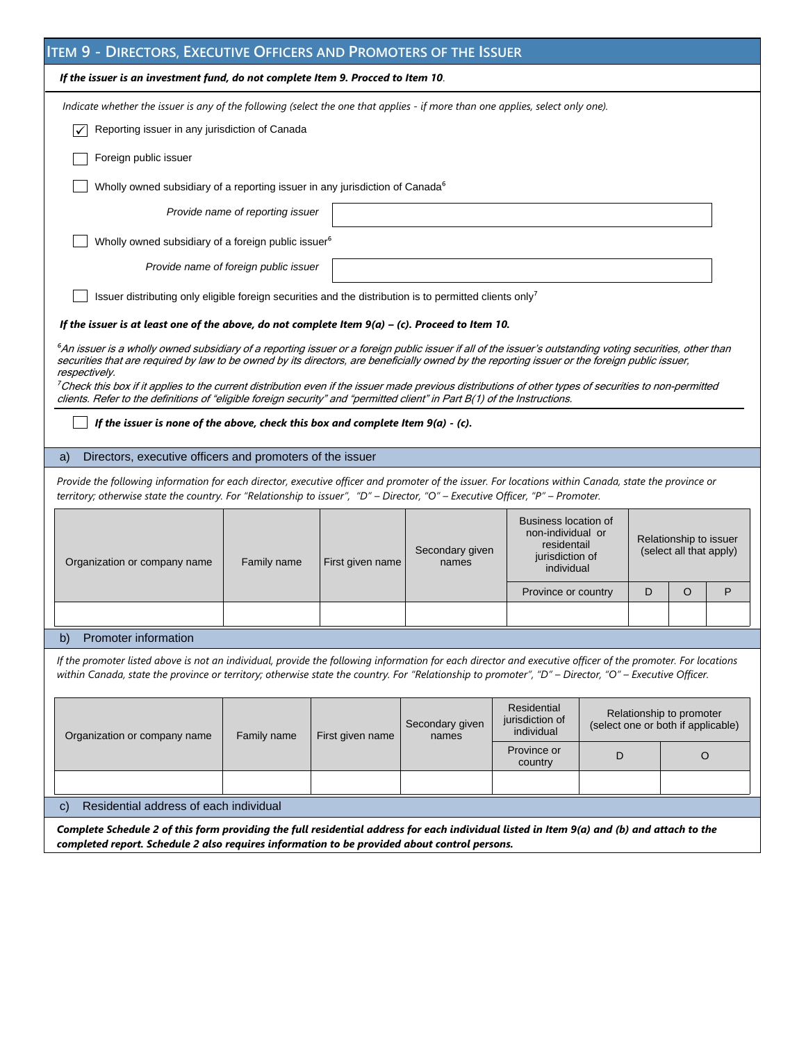| <b>ITEM 9 - DIRECTORS, EXECUTIVE OFFICERS AND PROMOTERS OF THE ISSUER</b>                                                                                                                                                                                                                                                                                                                                                                                                                                                                                                                                                                                                                                              |                                       |                  |                          |                                                                                                  |   |   |                                                                |   |  |  |  |
|------------------------------------------------------------------------------------------------------------------------------------------------------------------------------------------------------------------------------------------------------------------------------------------------------------------------------------------------------------------------------------------------------------------------------------------------------------------------------------------------------------------------------------------------------------------------------------------------------------------------------------------------------------------------------------------------------------------------|---------------------------------------|------------------|--------------------------|--------------------------------------------------------------------------------------------------|---|---|----------------------------------------------------------------|---|--|--|--|
| If the issuer is an investment fund, do not complete Item 9. Procced to Item 10.                                                                                                                                                                                                                                                                                                                                                                                                                                                                                                                                                                                                                                       |                                       |                  |                          |                                                                                                  |   |   |                                                                |   |  |  |  |
| Indicate whether the issuer is any of the following (select the one that applies - if more than one applies, select only one).                                                                                                                                                                                                                                                                                                                                                                                                                                                                                                                                                                                         |                                       |                  |                          |                                                                                                  |   |   |                                                                |   |  |  |  |
| Reporting issuer in any jurisdiction of Canada                                                                                                                                                                                                                                                                                                                                                                                                                                                                                                                                                                                                                                                                         |                                       |                  |                          |                                                                                                  |   |   |                                                                |   |  |  |  |
| Foreign public issuer                                                                                                                                                                                                                                                                                                                                                                                                                                                                                                                                                                                                                                                                                                  |                                       |                  |                          |                                                                                                  |   |   |                                                                |   |  |  |  |
| Wholly owned subsidiary of a reporting issuer in any jurisdiction of Canada <sup>6</sup>                                                                                                                                                                                                                                                                                                                                                                                                                                                                                                                                                                                                                               |                                       |                  |                          |                                                                                                  |   |   |                                                                |   |  |  |  |
|                                                                                                                                                                                                                                                                                                                                                                                                                                                                                                                                                                                                                                                                                                                        | Provide name of reporting issuer      |                  |                          |                                                                                                  |   |   |                                                                |   |  |  |  |
| Wholly owned subsidiary of a foreign public issuer <sup>6</sup>                                                                                                                                                                                                                                                                                                                                                                                                                                                                                                                                                                                                                                                        |                                       |                  |                          |                                                                                                  |   |   |                                                                |   |  |  |  |
|                                                                                                                                                                                                                                                                                                                                                                                                                                                                                                                                                                                                                                                                                                                        | Provide name of foreign public issuer |                  |                          |                                                                                                  |   |   |                                                                |   |  |  |  |
| Issuer distributing only eligible foreign securities and the distribution is to permitted clients only <sup>7</sup>                                                                                                                                                                                                                                                                                                                                                                                                                                                                                                                                                                                                    |                                       |                  |                          |                                                                                                  |   |   |                                                                |   |  |  |  |
| If the issuer is at least one of the above, do not complete Item $9(a) - (c)$ . Proceed to Item 10.                                                                                                                                                                                                                                                                                                                                                                                                                                                                                                                                                                                                                    |                                       |                  |                          |                                                                                                  |   |   |                                                                |   |  |  |  |
| 6An issuer is a wholly owned subsidiary of a reporting issuer or a foreign public issuer if all of the issuer's outstanding voting securities, other than<br>securities that are required by law to be owned by its directors, are beneficially owned by the reporting issuer or the foreign public issuer,<br>respectively.<br><sup>7</sup> Check this box if it applies to the current distribution even if the issuer made previous distributions of other types of securities to non-permitted<br>clients. Refer to the definitions of "eligible foreign security" and "permitted client" in Part B(1) of the Instructions.<br>If the issuer is none of the above, check this box and complete Item $9(a) - (c)$ . |                                       |                  |                          |                                                                                                  |   |   |                                                                |   |  |  |  |
|                                                                                                                                                                                                                                                                                                                                                                                                                                                                                                                                                                                                                                                                                                                        |                                       |                  |                          |                                                                                                  |   |   |                                                                |   |  |  |  |
| Directors, executive officers and promoters of the issuer<br>a)<br>Provide the following information for each director, executive officer and promoter of the issuer. For locations within Canada, state the province or                                                                                                                                                                                                                                                                                                                                                                                                                                                                                               |                                       |                  |                          |                                                                                                  |   |   |                                                                |   |  |  |  |
| territory; otherwise state the country. For "Relationship to issuer", "D" - Director, "O" - Executive Officer, "P" - Promoter.                                                                                                                                                                                                                                                                                                                                                                                                                                                                                                                                                                                         |                                       |                  |                          |                                                                                                  |   |   |                                                                |   |  |  |  |
| Organization or company name                                                                                                                                                                                                                                                                                                                                                                                                                                                                                                                                                                                                                                                                                           | Family name                           | First given name |                          | <b>Business location of</b><br>non-individual or<br>residentail<br>jurisdiction of<br>individual |   |   | Relationship to issuer<br>(select all that apply)              |   |  |  |  |
|                                                                                                                                                                                                                                                                                                                                                                                                                                                                                                                                                                                                                                                                                                                        |                                       |                  |                          | Province or country                                                                              |   | D | O                                                              | P |  |  |  |
|                                                                                                                                                                                                                                                                                                                                                                                                                                                                                                                                                                                                                                                                                                                        |                                       |                  |                          |                                                                                                  |   |   |                                                                |   |  |  |  |
| Promoter information<br>b)                                                                                                                                                                                                                                                                                                                                                                                                                                                                                                                                                                                                                                                                                             |                                       |                  |                          |                                                                                                  |   |   |                                                                |   |  |  |  |
| If the promoter listed above is not an individual, provide the following information for each director and executive officer of the promoter. For locations<br>within Canada, state the province or territory; otherwise state the country. For "Relationship to promoter", "D" - Director, "O" - Executive Officer.                                                                                                                                                                                                                                                                                                                                                                                                   |                                       |                  |                          |                                                                                                  |   |   |                                                                |   |  |  |  |
| Organization or company name                                                                                                                                                                                                                                                                                                                                                                                                                                                                                                                                                                                                                                                                                           | Family name                           | First given name | Secondary given<br>names | Residential<br>jurisdiction of<br>individual                                                     |   |   | Relationship to promoter<br>(select one or both if applicable) |   |  |  |  |
|                                                                                                                                                                                                                                                                                                                                                                                                                                                                                                                                                                                                                                                                                                                        |                                       |                  |                          | Province or<br>country                                                                           | D |   | O                                                              |   |  |  |  |
|                                                                                                                                                                                                                                                                                                                                                                                                                                                                                                                                                                                                                                                                                                                        |                                       |                  |                          |                                                                                                  |   |   |                                                                |   |  |  |  |
| Residential address of each individual<br>$\mathsf{C}$                                                                                                                                                                                                                                                                                                                                                                                                                                                                                                                                                                                                                                                                 |                                       |                  |                          |                                                                                                  |   |   |                                                                |   |  |  |  |
| Complete Schedule 2 of this form providing the full residential address for each individual listed in Item 9(a) and (b) and attach to the                                                                                                                                                                                                                                                                                                                                                                                                                                                                                                                                                                              |                                       |                  |                          |                                                                                                  |   |   |                                                                |   |  |  |  |

*completed report. Schedule 2 also requires information to be provided about control persons.*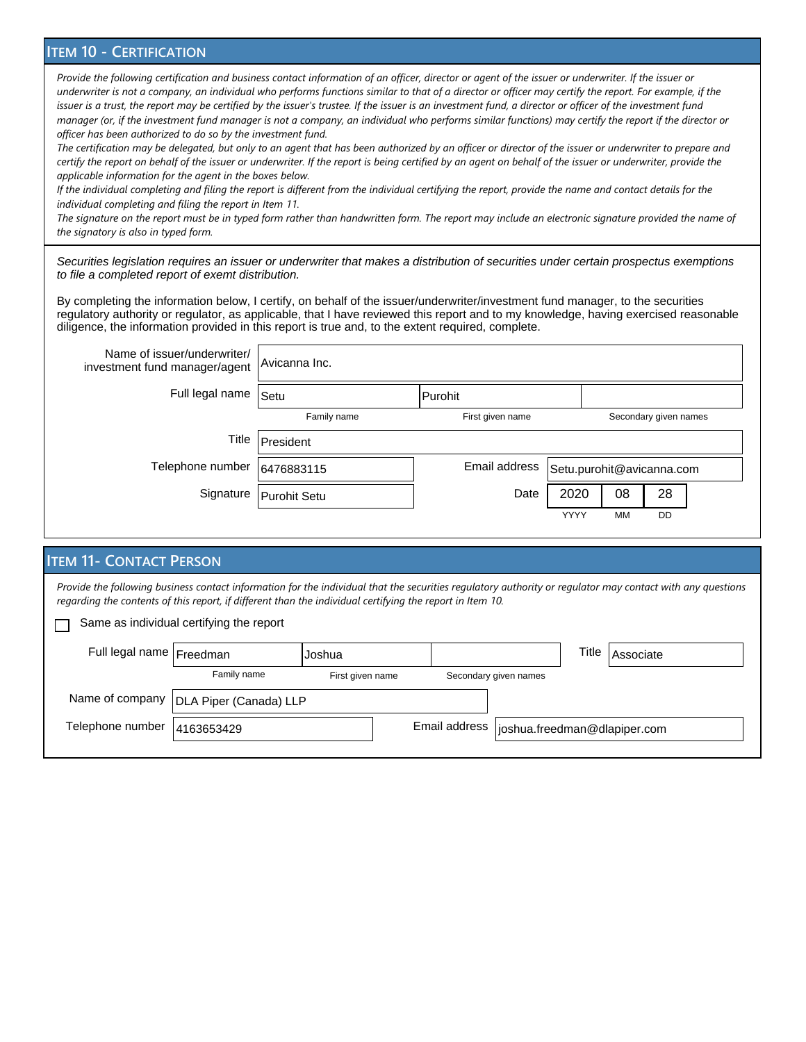### **ITEM 10 - CERTIFICATION**

Provide the following certification and business contact information of an officer, director or agent of the issuer or underwriter. If the issuer or *underwriter is not a company, an individual who performs functions similar to that of a director or officer may certify the report. For example, if the*  issuer is a trust, the report may be certified by the issuer's trustee. If the issuer is an investment fund, a director or officer of the investment fund *manager (or, if the investment fund manager is not a company, an individual who performs similar functions) may certify the report if the director or officer has been authorized to do so by the investment fund.*

*The certification may be delegated, but only to an agent that has been authorized by an officer or director of the issuer or underwriter to prepare and certify the report on behalf of the issuer or underwriter. If the report is being certified by an agent on behalf of the issuer or underwriter, provide the applicable information for the agent in the boxes below.*

*If the individual completing and filing the report is different from the individual certifying the report, provide the name and contact details for the individual completing and filing the report in Item 11.*

The signature on the report must be in typed form rather than handwritten form. The report may include an electronic signature provided the name of *the signatory is also in typed form.*

Securities legislation requires an issuer or underwriter that makes a distribution of securities under certain prospectus exemptions to file a completed report of exemt distribution.

By completing the information below, I certify, on behalf of the issuer/underwriter/investment fund manager, to the securities regulatory authority or regulator, as applicable, that I have reviewed this report and to my knowledge, having exercised reasonable diligence, the information provided in this report is true and, to the extent required, complete.

| Name of issuer/underwriter/<br>investment fund manager/agent | Avicanna Inc. |                  |                           |                       |    |  |  |  |  |  |  |
|--------------------------------------------------------------|---------------|------------------|---------------------------|-----------------------|----|--|--|--|--|--|--|
| Full legal name                                              | Setu          |                  |                           |                       |    |  |  |  |  |  |  |
|                                                              | Family name   | First given name |                           | Secondary given names |    |  |  |  |  |  |  |
| Title                                                        | President     |                  |                           |                       |    |  |  |  |  |  |  |
| Telephone number                                             | 6476883115    | Email address    | Setu.purohit@avicanna.com |                       |    |  |  |  |  |  |  |
| Signature                                                    | Purohit Setu  | Date             | 2020                      | 08                    | 28 |  |  |  |  |  |  |
|                                                              |               |                  | <b>YYYY</b>               | MМ                    | DD |  |  |  |  |  |  |

## **ITEM 11- CONTACT PERSON**

*Provide the following business contact information for the individual that the securities regulatory authority or regulator may contact with any questions regarding the contents of this report, if different than the individual certifying the report in Item 10.*

Same as individual certifying the report П

| Full legal name Freedman      |                                          | lJoshua          |                                             |                       | Title | Associate |
|-------------------------------|------------------------------------------|------------------|---------------------------------------------|-----------------------|-------|-----------|
|                               | Family name                              | First given name |                                             | Secondary given names |       |           |
|                               | Name of company   DLA Piper (Canada) LLP |                  |                                             |                       |       |           |
| Telephone number   4163653429 |                                          |                  | Email address  joshua.freedman@dlapiper.com |                       |       |           |